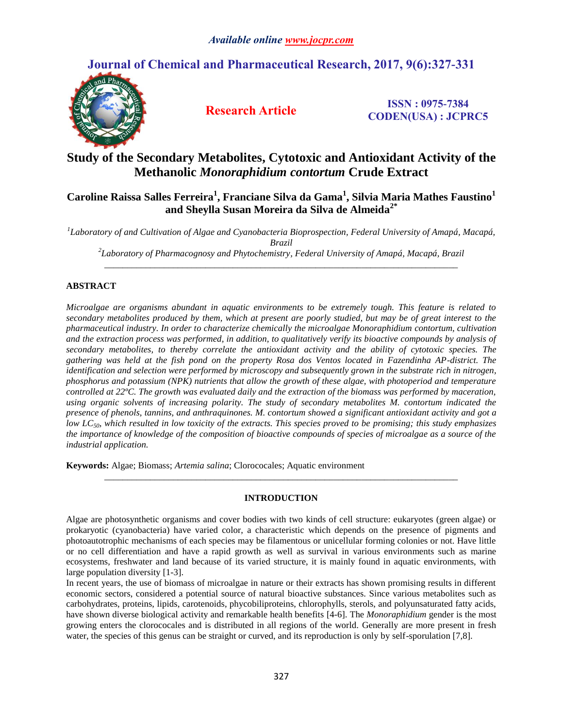# **Journal of Chemical and Pharmaceutical Research, 2017, 9(6):327-331**



**Research Article ISSN : 0975-7384 CODEN(USA) : JCPRC5**

## **Study of the Secondary Metabolites, Cytotoxic and Antioxidant Activity of the Methanolic** *Monoraphidium contortum* **Crude Extract**

## **Caroline Raissa Salles Ferreira<sup>1</sup> , Franciane Silva da Gama<sup>1</sup> , Silvia Maria Mathes Faustino<sup>1</sup> and Sheylla Susan Moreira da Silva de Almeida2\***

*1 Laboratory of and Cultivation of Algae and Cyanobacteria Bioprospection, Federal University of Amapá, Macapá, Brazil*

*2 Laboratory of Pharmacognosy and Phytochemistry, Federal University of Amapá, Macapá, Brazil \_\_\_\_\_\_\_\_\_\_\_\_\_\_\_\_\_\_\_\_\_\_\_\_\_\_\_\_\_\_\_\_\_\_\_\_\_\_\_\_\_\_\_\_\_\_\_\_\_\_\_\_\_\_\_\_\_\_\_\_\_\_\_\_\_\_\_\_\_\_\_\_\_\_\_\_\_*

### **ABSTRACT**

*Microalgae are organisms abundant in aquatic environments to be extremely tough. This feature is related to secondary metabolites produced by them, which at present are poorly studied, but may be of great interest to the pharmaceutical industry. In order to characterize chemically the microalgae Monoraphidium contortum, cultivation and the extraction process was performed, in addition, to qualitatively verify its bioactive compounds by analysis of secondary metabolites, to thereby correlate the antioxidant activity and the ability of cytotoxic species. The gathering was held at the fish pond on the property Rosa dos Ventos located in Fazendinha AP-district. The identification and selection were performed by microscopy and subsequently grown in the substrate rich in nitrogen, phosphorus and potassium (NPK) nutrients that allow the growth of these algae, with photoperiod and temperature controlled at 22ºC. The growth was evaluated daily and the extraction of the biomass was performed by maceration, using organic solvents of increasing polarity. The study of secondary metabolites M. contortum indicated the presence of phenols, tannins, and anthraquinones. M. contortum showed a significant antioxidant activity and got a low LC50, which resulted in low toxicity of the extracts. This species proved to be promising; this study emphasizes the importance of knowledge of the composition of bioactive compounds of species of microalgae as a source of the industrial application.* 

**Keywords:** Algae; Biomass; *Artemia salina*; Clorococales; Aquatic environment

### **INTRODUCTION**

*\_\_\_\_\_\_\_\_\_\_\_\_\_\_\_\_\_\_\_\_\_\_\_\_\_\_\_\_\_\_\_\_\_\_\_\_\_\_\_\_\_\_\_\_\_\_\_\_\_\_\_\_\_\_\_\_\_\_\_\_\_\_\_\_\_\_\_\_\_\_\_\_\_\_\_\_\_*

In recent years, the use of biomass of microalgae in nature or their extracts has shown promising results in different economic sectors, considered a potential source of natural bioactive substances. Since various metabolites such as carbohydrates, proteins, lipids, carotenoids, phycobiliproteins, chlorophylls, sterols, and polyunsaturated fatty acids, have shown diverse biological activity and remarkable health benefits [4-6]. The *Monoraphidium* gender is the most growing enters the clorococales and is distributed in all regions of the world. Generally are more present in fresh water, the species of this genus can be straight or curved, and its reproduction is only by self-sporulation [7,8].

Algae are photosynthetic organisms and cover bodies with two kinds of cell structure: eukaryotes (green algae) or prokaryotic (cyanobacteria) have varied color, a characteristic which depends on the presence of pigments and photoautotrophic mechanisms of each species may be filamentous or unicellular forming colonies or not. Have little or no cell differentiation and have a rapid growth as well as survival in various environments such as marine ecosystems, freshwater and land because of its varied structure, it is mainly found in aquatic environments, with large population diversity [1-3].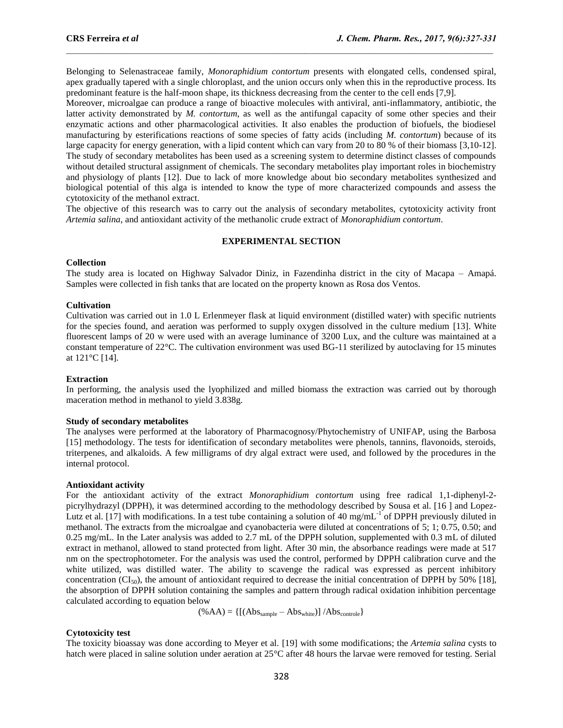Belonging to Selenastraceae family, *Monoraphidium contortum* presents with elongated cells, condensed spiral, apex gradually tapered with a single chloroplast, and the union occurs only when this in the reproductive process. Its predominant feature is the half-moon shape, its thickness decreasing from the center to the cell ends [7,9].

 $\mathcal{L}_\mathcal{L} = \mathcal{L}_\mathcal{L}$ 

Moreover, microalgae can produce a range of bioactive molecules with antiviral, anti-inflammatory, antibiotic, the latter activity demonstrated by *M. contortum*, as well as the antifungal capacity of some other species and their enzymatic actions and other pharmacological activities. It also enables the production of biofuels, the biodiesel manufacturing by esterifications reactions of some species of fatty acids (including *M. contortum*) because of its large capacity for energy generation, with a lipid content which can vary from 20 to 80 % of their biomass [3,10-12]. The study of secondary metabolites has been used as a screening system to determine distinct classes of compounds without detailed structural assignment of chemicals. The secondary metabolites play important roles in biochemistry and physiology of plants [12]. Due to lack of more knowledge about bio secondary metabolites synthesized and biological potential of this alga is intended to know the type of more characterized compounds and assess the cytotoxicity of the methanol extract.

The objective of this research was to carry out the analysis of secondary metabolites, cytotoxicity activity front *Artemia salina*, and antioxidant activity of the methanolic crude extract of *Monoraphidium contortum*.

#### **EXPERIMENTAL SECTION**

#### **Collection**

The study area is located on Highway Salvador Diniz, in Fazendinha district in the city of Macapa – Amapá. Samples were collected in fish tanks that are located on the property known as Rosa dos Ventos.

#### **Cultivation**

Cultivation was carried out in 1.0 L Erlenmeyer flask at liquid environment (distilled water) with specific nutrients for the species found, and aeration was performed to supply oxygen dissolved in the culture medium [13]. White fluorescent lamps of 20 w were used with an average luminance of 3200 Lux, and the culture was maintained at a constant temperature of 22°C. The cultivation environment was used BG-11 sterilized by autoclaving for 15 minutes at 121°C [14].

#### **Extraction**

In performing, the analysis used the lyophilized and milled biomass the extraction was carried out by thorough maceration method in methanol to yield 3.838g.

#### **Study of secondary metabolites**

The analyses were performed at the laboratory of Pharmacognosy/Phytochemistry of UNIFAP, using the Barbosa [15] methodology. The tests for identification of secondary metabolites were phenols, tannins, flavonoids, steroids, triterpenes, and alkaloids. A few milligrams of dry algal extract were used, and followed by the procedures in the internal protocol.

#### **Antioxidant activity**

For the antioxidant activity of the extract *Monoraphidium contortum* using free radical 1,1-diphenyl-2 picrylhydrazyl (DPPH), it was determined according to the methodology described by Sousa et al. [16 ] and Lopez-Lutz et al. [17] with modifications. In a test tube containing a solution of 40 mg/mL<sup>-1</sup> of DPPH previously diluted in methanol. The extracts from the microalgae and cyanobacteria were diluted at concentrations of 5; 1; 0.75, 0.50; and 0.25 mg/mL. In the Later analysis was added to 2.7 mL of the DPPH solution, supplemented with 0.3 mL of diluted extract in methanol, allowed to stand protected from light. After 30 min, the absorbance readings were made at 517 nm on the spectrophotometer. For the analysis was used the control, performed by DPPH calibration curve and the white utilized, was distilled water. The ability to scavenge the radical was expressed as percent inhibitory concentration ( $CI_{50}$ ), the amount of antioxidant required to decrease the initial concentration of DPPH by 50% [18], the absorption of DPPH solution containing the samples and pattern through radical oxidation inhibition percentage calculated according to equation below

$$
(\%AA) = \{ [(Abs_{sample} - Abs_{white})] / Abs_{controle} \}
$$

#### **Cytotoxicity test**

The toxicity bioassay was done according to Meyer et al. [19] with some modifications; the *Artemia salina* cysts to hatch were placed in saline solution under aeration at 25°C after 48 hours the larvae were removed for testing. Serial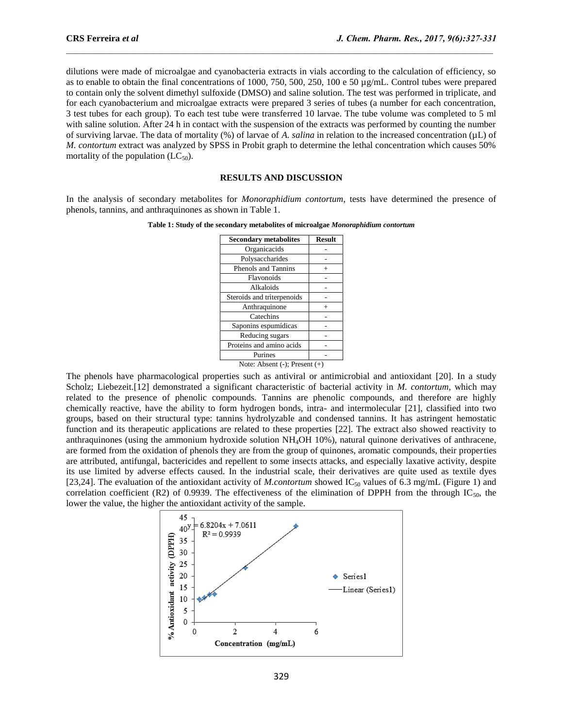dilutions were made of microalgae and cyanobacteria extracts in vials according to the calculation of efficiency, so as to enable to obtain the final concentrations of 1000, 750, 500, 250, 100 e 50 µg/mL. Control tubes were prepared to contain only the solvent dimethyl sulfoxide (DMSO) and saline solution. The test was performed in triplicate, and for each cyanobacterium and microalgae extracts were prepared 3 series of tubes (a number for each concentration, 3 test tubes for each group). To each test tube were transferred 10 larvae. The tube volume was completed to 5 ml with saline solution. After 24 h in contact with the suspension of the extracts was performed by counting the number of surviving larvae. The data of mortality (%) of larvae of *A. salina* in relation to the increased concentration (µL) of *M. contortum* extract was analyzed by SPSS in Probit graph to determine the lethal concentration which causes 50% mortality of the population  $(LC_{50})$ .

 $\mathcal{L}_\mathcal{L} = \mathcal{L}_\mathcal{L}$ 

#### **RESULTS AND DISCUSSION**

In the analysis of secondary metabolites for *Monoraphidium contortum*, tests have determined the presence of phenols, tannins, and anthraquinones as shown in Table 1.

| <b>Secondary metabolites</b>       | <b>Result</b> |
|------------------------------------|---------------|
| Organicacids                       |               |
| Polysaccharides                    |               |
| Phenols and Tannins                |               |
| Flavonoids                         |               |
| Alkaloids                          |               |
| Steroids and triterpenoids         |               |
| Anthraquinone                      |               |
| Catechins                          |               |
| Saponins espumídicas               |               |
| Reducing sugars                    |               |
| Proteins and amino acids           |               |
| Purines                            |               |
| Note: Absent $(-)$ ; Present $(+)$ |               |

The phenols have pharmacological properties such as antiviral or antimicrobial and antioxidant [20]. In a study Scholz; Liebezeit.[12] demonstrated a significant characteristic of bacterial activity in *M. contortum*, which may related to the presence of phenolic compounds. Tannins are phenolic compounds, and therefore are highly chemically reactive, have the ability to form hydrogen bonds, intra- and intermolecular [21], classified into two groups, based on their structural type: tannins hydrolyzable and condensed tannins. It has astringent hemostatic function and its therapeutic applications are related to these properties [22]. The extract also showed reactivity to anthraquinones (using the ammonium hydroxide solution NH4OH 10%), natural quinone derivatives of anthracene, are formed from the oxidation of phenols they are from the group of quinones, aromatic compounds, their properties are attributed, antifungal, bactericides and repellent to some insects attacks, and especially laxative activity, despite its use limited by adverse effects caused. In the industrial scale, their derivatives are quite used as textile dyes [23,24]. The evaluation of the antioxidant activity of *M.contortum* showed IC<sub>50</sub> values of 6.3 mg/mL (Figure 1) and correlation coefficient (R2) of 0.9939. The effectiveness of the elimination of DPPH from the through  $IC_{50}$ , the lower the value, the higher the antioxidant activity of the sample.

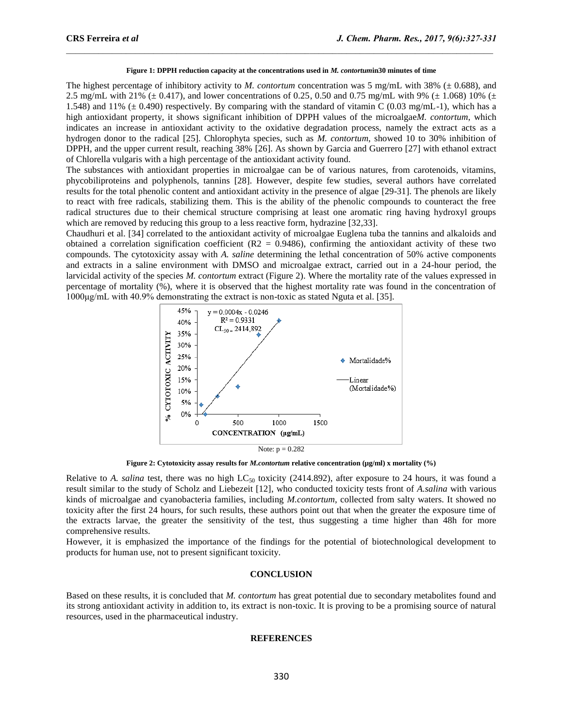#### **Figure 1: DPPH reduction capacity at the concentrations used in** *M. contortum***in30 minutes of time**

 $\mathcal{L}_\mathcal{L} = \mathcal{L}_\mathcal{L}$ 

The highest percentage of inhibitory activity to *M. contortum* concentration was 5 mg/mL with 38% ( $\pm$  0.688), and 2.5 mg/mL with 21% ( $\pm$  0.417), and lower concentrations of 0.25, 0.50 and 0.75 mg/mL with 9% ( $\pm$  1.068) 10% ( $\pm$ 1.548) and 11% ( $\pm$  0.490) respectively. By comparing with the standard of vitamin C (0.03 mg/mL-1), which has a high antioxidant property, it shows significant inhibition of DPPH values of the microalgae*M. contortum*, which indicates an increase in antioxidant activity to the oxidative degradation process, namely the extract acts as a hydrogen donor to the radical [25]. Chlorophyta species, such as *M. contortum*, showed 10 to 30% inhibition of DPPH, and the upper current result, reaching 38% [26]. As shown by Garcia and Guerrero [27] with ethanol extract of Chlorella vulgaris with a high percentage of the antioxidant activity found.

The substances with antioxidant properties in microalgae can be of various natures, from carotenoids, vitamins, phycobiliproteins and polyphenols, tannins [28]. However, despite few studies, several authors have correlated results for the total phenolic content and antioxidant activity in the presence of algae [29-31]. The phenols are likely to react with free radicals, stabilizing them. This is the ability of the phenolic compounds to counteract the free radical structures due to their chemical structure comprising at least one aromatic ring having hydroxyl groups which are removed by reducing this group to a less reactive form, hydrazine [32,33].

Chaudhuri et al. [34] correlated to the antioxidant activity of microalgae Euglena tuba the tannins and alkaloids and obtained a correlation signification coefficient  $(R2 = 0.9486)$ , confirming the antioxidant activity of these two compounds. The cytotoxicity assay with *A. saline* determining the lethal concentration of 50% active components and extracts in a saline environment with DMSO and microalgae extract, carried out in a 24-hour period, the larvicidal activity of the species *M. contortum* extract (Figure 2). Where the mortality rate of the values expressed in percentage of mortality (%), where it is observed that the highest mortality rate was found in the concentration of 1000μg/mL with 40.9% demonstrating the extract is non-toxic as stated Nguta et al. [35].



**Figure 2: Cytotoxicity assay results for** *M.contortum* **relative concentration (µg/ml) x mortality (%)**

Relative to *A. salina* test, there was no high  $LC_{50}$  toxicity (2414.892), after exposure to 24 hours, it was found a result similar to the study of Scholz and Liebezeit [12], who conducted toxicity tests front of *A.salina* with various kinds of microalgae and cyanobacteria families, including *M.contortum*, collected from salty waters. It showed no toxicity after the first 24 hours, for such results, these authors point out that when the greater the exposure time of the extracts larvae, the greater the sensitivity of the test, thus suggesting a time higher than 48h for more comprehensive results.

However, it is emphasized the importance of the findings for the potential of biotechnological development to products for human use, not to present significant toxicity.

#### **CONCLUSION**

Based on these results, it is concluded that *M. contortum* has great potential due to secondary metabolites found and its strong antioxidant activity in addition to, its extract is non-toxic. It is proving to be a promising source of natural resources, used in the pharmaceutical industry.

#### **REFERENCES**